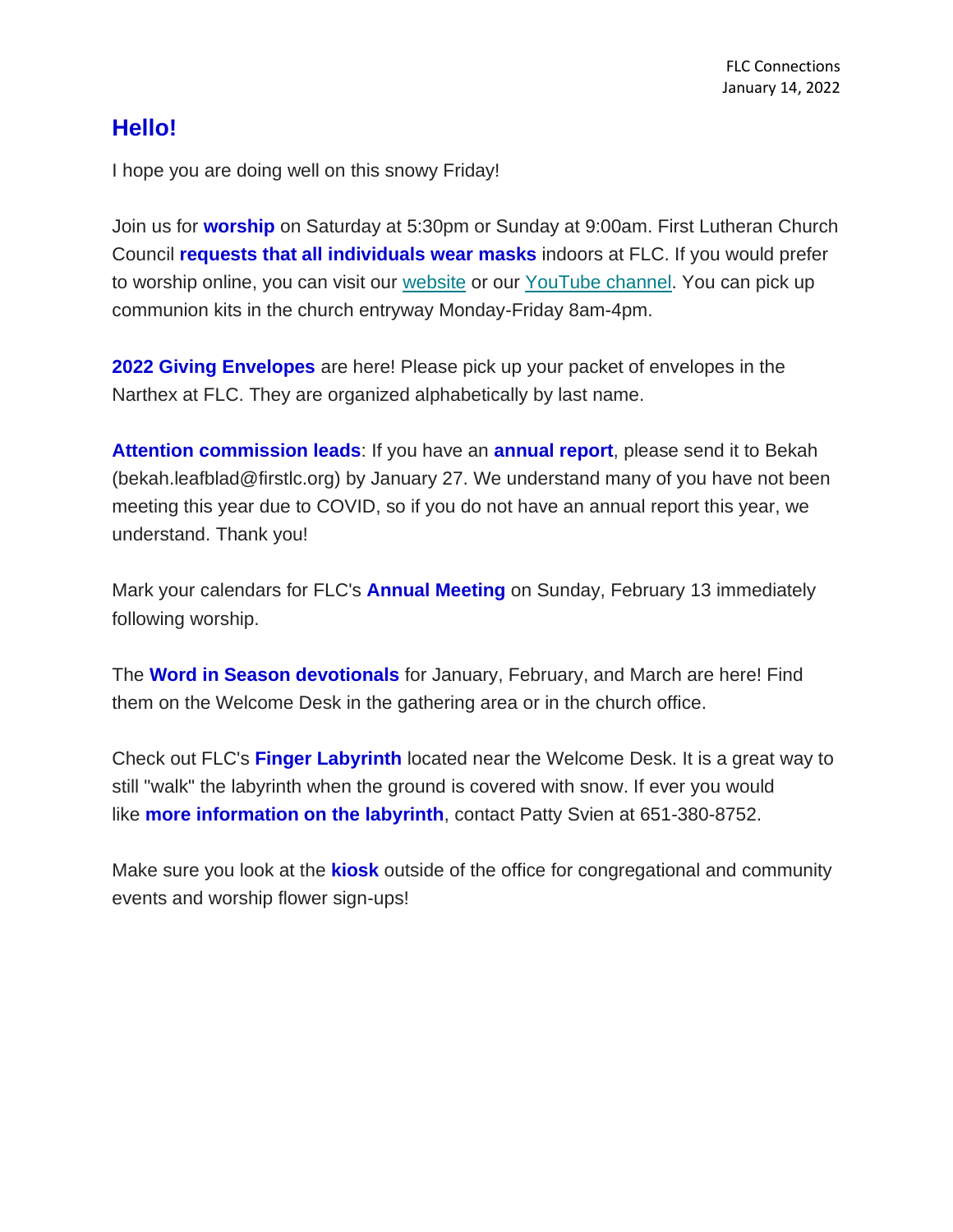## **Hello!**

I hope you are doing well on this snowy Friday!

Join us for **worship** on Saturday at 5:30pm or Sunday at 9:00am. First Lutheran Church Council **requests that all individuals wear masks** indoors at FLC. If you would prefer to worship online, you can visit our [website](https://www.firstlc.org/index.php?) or our [YouTube channel.](https://www.youtube.com/channel/UC9XdNg_hQSX1DHMunNI8WQw/featured) You can pick up communion kits in the church entryway Monday-Friday 8am-4pm.

**2022 Giving Envelopes** are here! Please pick up your packet of envelopes in the Narthex at FLC. They are organized alphabetically by last name.

**Attention commission leads**: If you have an **annual report**, please send it to Bekah (bekah.leafblad@firstlc.org) by January 27. We understand many of you have not been meeting this year due to COVID, so if you do not have an annual report this year, we understand. Thank you!

Mark your calendars for FLC's **Annual Meeting** on Sunday, February 13 immediately following worship.

The **Word in Season devotionals** for January, February, and March are here! Find them on the Welcome Desk in the gathering area or in the church office.

Check out FLC's **Finger Labyrinth** located near the Welcome Desk. It is a great way to still "walk" the labyrinth when the ground is covered with snow. If ever you would like **more information on the labyrinth**, contact Patty Svien at 651-380-8752.

Make sure you look at the **kiosk** outside of the office for congregational and community events and worship flower sign-ups!